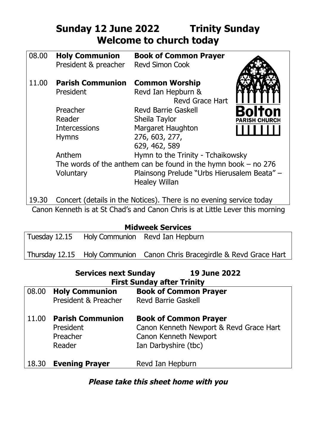## **Sunday 12 June 2022 Trinity Sunday Welcome to church today**

| 08.00 | <b>Holy Communion</b><br>President & preacher                       | <b>Book of Common Prayer</b><br><b>Revd Simon Cook</b>              |                      |  |
|-------|---------------------------------------------------------------------|---------------------------------------------------------------------|----------------------|--|
| 11.00 | <b>Parish Communion</b>                                             | <b>Common Worship</b>                                               |                      |  |
|       | President                                                           | Revd Ian Hepburn &<br><b>Revd Grace Hart</b>                        |                      |  |
|       | Preacher                                                            | <b>Revd Barrie Gaskell</b>                                          | Bolton               |  |
|       | Reader                                                              | Sheila Taylor                                                       | <b>PARISH CHURCH</b> |  |
|       | <b>Intercessions</b>                                                | <b>Margaret Haughton</b>                                            |                      |  |
|       | <b>Hymns</b>                                                        | 276, 603, 277,                                                      |                      |  |
|       |                                                                     | 629, 462, 589                                                       |                      |  |
|       | Anthem                                                              | Hymn to the Trinity - Tchaikowsky                                   |                      |  |
|       | The words of the anthem can be found in the hymn book $-$ no 276    |                                                                     |                      |  |
|       | Voluntary                                                           | Plainsong Prelude "Urbs Hierusalem Beata" -<br><b>Healey Willan</b> |                      |  |
| 19.30 | Concert (details in the Notices). There is no evening service today |                                                                     |                      |  |

Canon Kenneth is at St Chad's and Canon Chris is at Little Lever this morning

| Tuesday 12.15 |  | Holy Communion Revd Ian Hepburn |
|---------------|--|---------------------------------|
|---------------|--|---------------------------------|

Thursday 12.15 Holy Communion Canon Chris Bracegirdle & Revd Grace Hart

|       | <b>Services next Sunday</b>                                | <b>19 June 2022</b><br><b>First Sunday after Trinity</b>                                                                 |
|-------|------------------------------------------------------------|--------------------------------------------------------------------------------------------------------------------------|
|       | 08.00 Holy Communion<br>President & Preacher               | <b>Book of Common Prayer</b><br><b>Revd Barrie Gaskell</b>                                                               |
| 11.00 | <b>Parish Communion</b><br>President<br>Preacher<br>Reader | <b>Book of Common Prayer</b><br>Canon Kenneth Newport & Revd Grace Hart<br>Canon Kenneth Newport<br>Ian Darbyshire (tbc) |
| 18.30 | <b>Evening Prayer</b>                                      | Revd Ian Hepburn                                                                                                         |

## **Please take this sheet home with you**